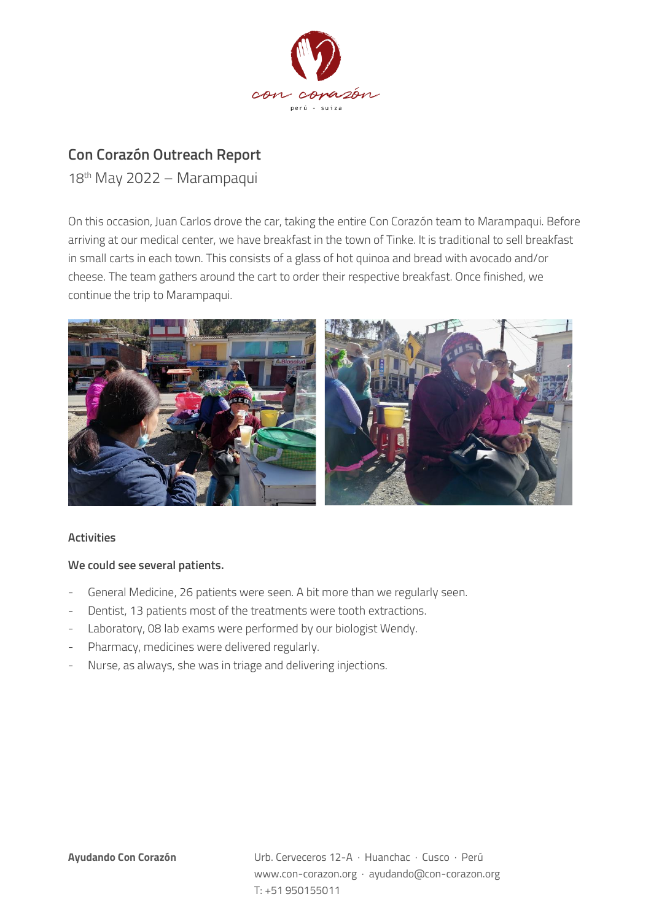

## **Con Corazón Outreach Report**

18th May 2022 – Marampaqui

On this occasion, Juan Carlos drove the car, taking the entire Con Corazón team to Marampaqui. Before arriving at our medical center, we have breakfast in the town of Tinke. It is traditional to sell breakfast in small carts in each town. This consists of a glass of hot quinoa and bread with avocado and/or cheese. The team gathers around the cart to order their respective breakfast. Once finished, we continue the trip to Marampaqui.



## **Activities**

## **We could see several patients.**

- General Medicine, 26 patients were seen. A bit more than we regularly seen.
- Dentist, 13 patients most of the treatments were tooth extractions.
- Laboratory, 08 lab exams were performed by our biologist Wendy.
- Pharmacy, medicines were delivered regularly.
- Nurse, as always, she was in triage and delivering injections.